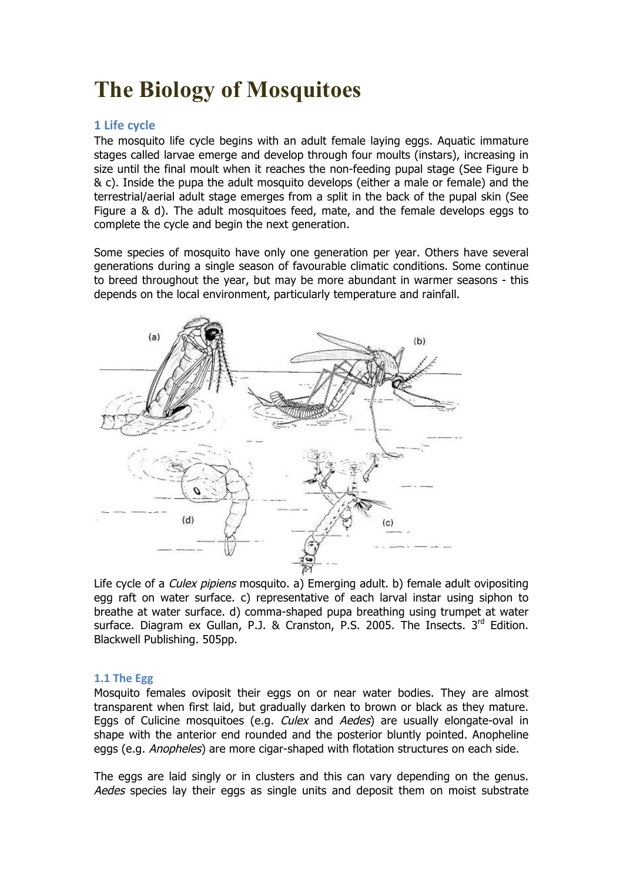# **The Biology of Mosquitoes**

## **1 Life cycle**

The mosquito life cycle begins with an adult female laying eggs. Aquatic immature stages called larvae emerge and develop through four moults (instars), increasing in size until the final moult when it reaches the non-feeding pupal stage (See Figure b & c). Inside the pupa the adult mosquito develops (either a male or female) and the terrestrial/aerial adult stage emerges from a split in the back of the pupal skin (See Figure a & d). The adult mosquitoes feed, mate, and the female develops eggs to complete the cycle and begin the next generation.

Some species of mosquito have only one generation per year. Others have several generations during a single season of favourable climatic conditions. Some continue to breed throughout the year, but may be more abundant in warmer seasons - this depends on the local environment, particularly temperature and rainfall.



Life cycle of a *Culex pipiens* mosquito. a) Emerging adult. b) female adult ovipositing egg raft on water surface. c) representative of each larval instar using siphon to breathe at water surface. d) comma-shaped pupa breathing using trumpet at water surface. Diagram ex Gullan, P.J. & Cranston, P.S. 2005. The Insects,  $3<sup>rd</sup>$  Edition. Blackwell Publishing. 505pp.

#### **1.1** The Egg

Mosquito females oviposit their eggs on or near water bodies. They are almost transparent when first laid, but gradually darken to brown or black as they mature. Eggs of Culicine mosquitoes (e.g. *Culex* and *Aedes*) are usually elongate-oval in shape with the anterior end rounded and the posterior bluntly pointed. Anopheline eggs (e.g. *Anopheles*) are more cigar-shaped with flotation structures on each side.

The eggs are laid singly or in clusters and this can vary depending on the genus. Aedes species lay their eggs as single units and deposit them on moist substrate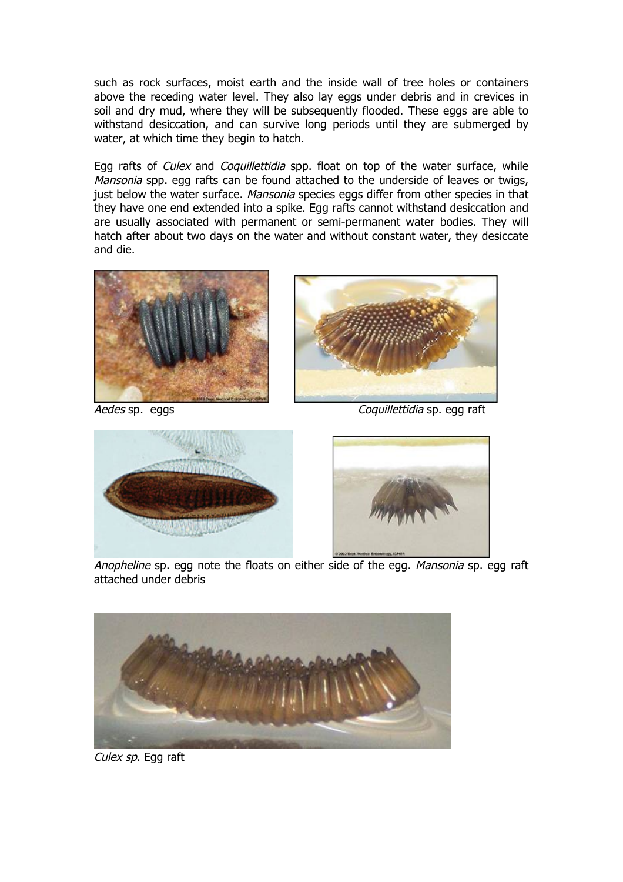such as rock surfaces, moist earth and the inside wall of tree holes or containers above the receding water level. They also lay eggs under debris and in crevices in soil and dry mud, where they will be subsequently flooded. These eggs are able to withstand desiccation, and can survive long periods until they are submerged by water, at which time they begin to hatch.

Egg rafts of *Culex* and *Coquillettidia* spp. float on top of the water surface, while Mansonia spp. egg rafts can be found attached to the underside of leaves or twigs, just below the water surface. Mansonia species eggs differ from other species in that they have one end extended into a spike. Egg rafts cannot withstand desiccation and are usually associated with permanent or semi-permanent water bodies. They will hatch after about two days on the water and without constant water, they desiccate and die.





Aedes sp. eggs eggs compared a compared control control control control control control control control control control control control control control control control control control control control control control contro





Anopheline sp. egg note the floats on either side of the egg. Mansonia sp. egg raft attached under debris



**Culex sp. Egg raft**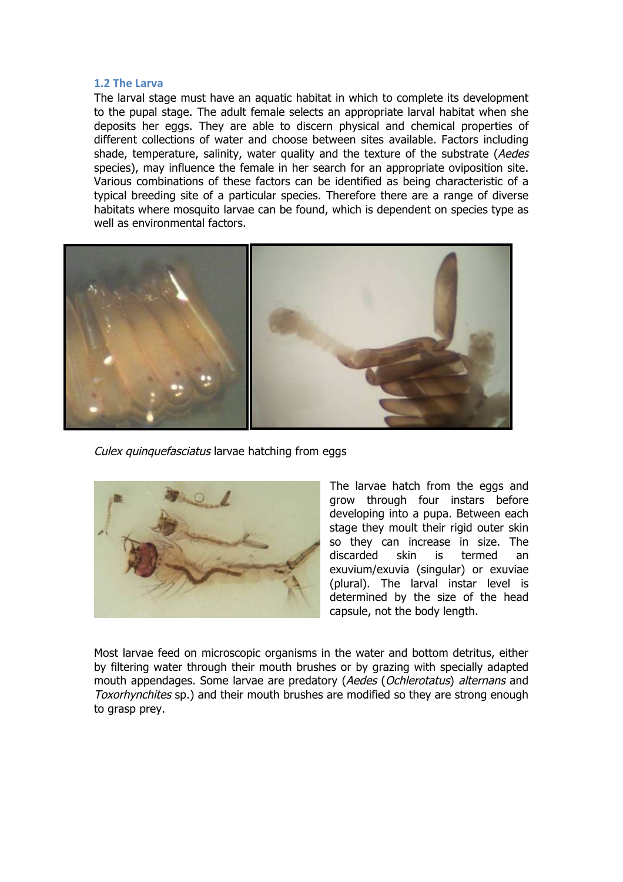#### **1.2 The Larva**

The larval stage must have an aquatic habitat in which to complete its development to the pupal stage. The adult female selects an appropriate larval habitat when she deposits her eggs. They are able to discern physical and chemical properties of different collections of water and choose between sites available. Factors including shade, temperature, salinity, water quality and the texture of the substrate (Aedes species), may influence the female in her search for an appropriate oviposition site. Various combinations of these factors can be identified as being characteristic of a typical breeding site of a particular species. Therefore there are a range of diverse habitats where mosquito larvae can be found, which is dependent on species type as well as environmental factors.



Culex quinquefasciatus larvae hatching from eggs



The larvae hatch from the eggs and grow through four instars before developing into a pupa. Between each stage they moult their rigid outer skin so they can increase in size. The discarded skin is termed an exuvium/exuvia (singular) or exuviae (plural). The larval instar level is determined by the size of the head capsule, not the body length.

Most larvae feed on microscopic organisms in the water and bottom detritus, either by filtering water through their mouth brushes or by grazing with specially adapted mouth appendages. Some larvae are predatory (Aedes (Ochlerotatus) alternans and Toxorhynchites sp.) and their mouth brushes are modified so they are strong enough to grasp prey.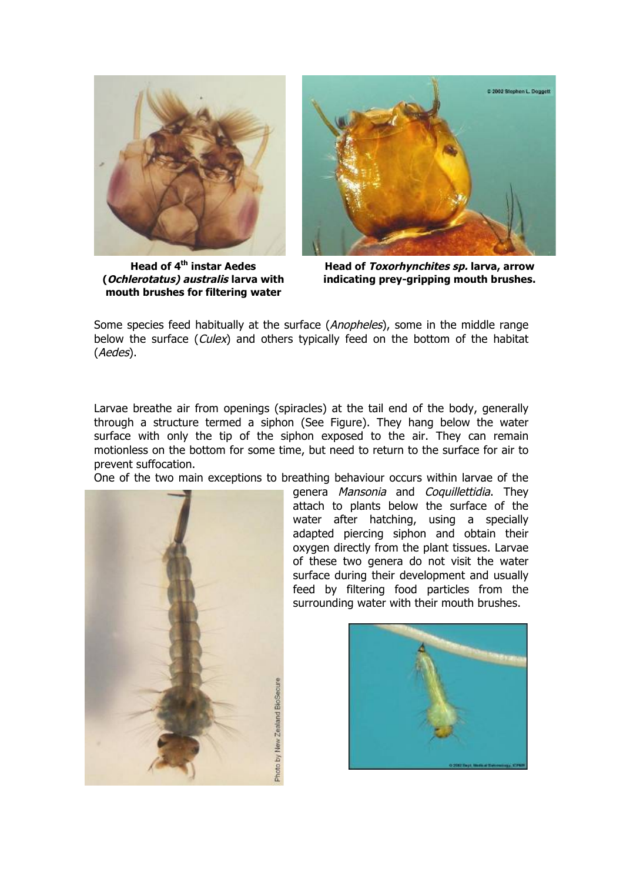

**Head of 4th instar Aedes (Ochlerotatus) australis larva with mouth brushes for filtering water**



**Head of Toxorhynchites sp. larva, arrow indicating prey-gripping mouth brushes.**

Some species feed habitually at the surface (Anopheles), some in the middle range below the surface (Culex) and others typically feed on the bottom of the habitat (Aedes).

Larvae breathe air from openings (spiracles) at the tail end of the body, generally through a structure termed a siphon (See Figure). They hang below the water surface with only the tip of the siphon exposed to the air. They can remain motionless on the bottom for some time, but need to return to the surface for air to prevent suffocation.

One of the two main exceptions to breathing behaviour occurs within larvae of the



genera Mansonia and Coquillettidia. They attach to plants below the surface of the water after hatching, using a specially adapted piercing siphon and obtain their oxygen directly from the plant tissues. Larvae of these two genera do not visit the water surface during their development and usually feed by filtering food particles from the surrounding water with their mouth brushes.

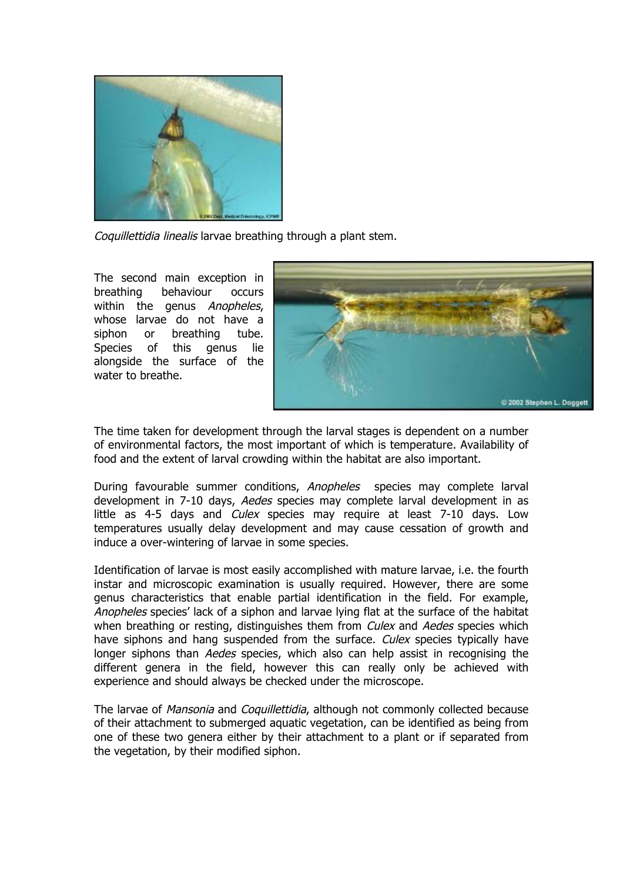

Coquillettidia linealis larvae breathing through a plant stem.

The second main exception in breathing behaviour occurs within the genus Anopheles, whose larvae do not have a siphon or breathing tube. Species of this genus lie alongside the surface of the water to breathe.



The time taken for development through the larval stages is dependent on a number of environmental factors, the most important of which is temperature. Availability of food and the extent of larval crowding within the habitat are also important.

During favourable summer conditions, Anopheles species may complete larval development in 7-10 days, Aedes species may complete larval development in as little as 4-5 days and *Culex* species may require at least 7-10 days. Low temperatures usually delay development and may cause cessation of growth and induce a over-wintering of larvae in some species.

Identification of larvae is most easily accomplished with mature larvae, i.e. the fourth instar and microscopic examination is usually required. However, there are some genus characteristics that enable partial identification in the field. For example, Anopheles species' lack of a siphon and larvae lying flat at the surface of the habitat when breathing or resting, distinguishes them from *Culex* and *Aedes* species which have siphons and hang suspended from the surface. Culex species typically have longer siphons than Aedes species, which also can help assist in recognising the different genera in the field, however this can really only be achieved with experience and should always be checked under the microscope.

The larvae of Mansonia and Coquillettidia, although not commonly collected because of their attachment to submerged aquatic vegetation, can be identified as being from one of these two genera either by their attachment to a plant or if separated from the vegetation, by their modified siphon.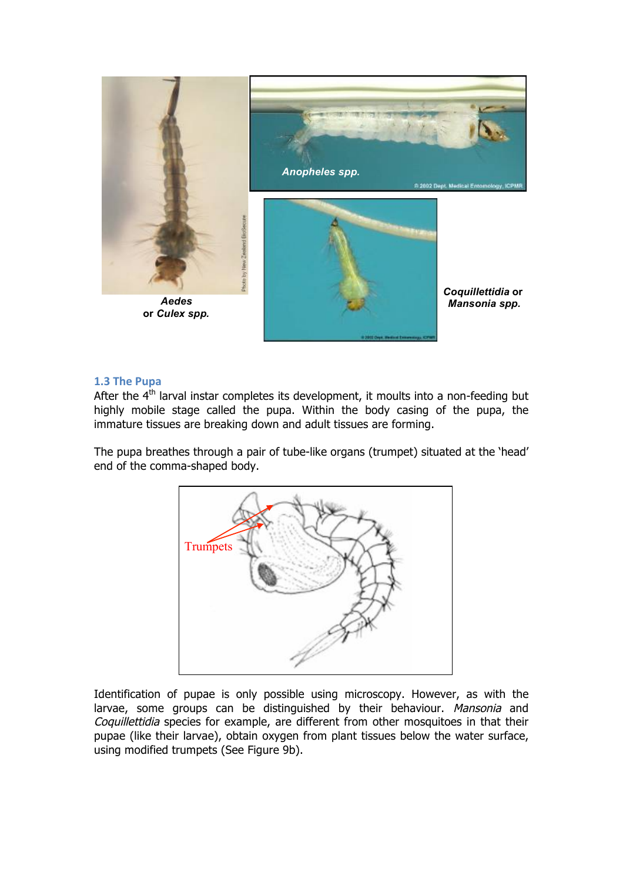

#### **1.3 The Pupa**

After the  $4<sup>th</sup>$  larval instar completes its development, it moults into a non-feeding but highly mobile stage called the pupa. Within the body casing of the pupa, the immature tissues are breaking down and adult tissues are forming.

The pupa breathes through a pair of tube-like organs (trumpet) situated at the 'head' end of the comma-shaped body.



Identification of pupae is only possible using microscopy. However, as with the larvae, some groups can be distinguished by their behaviour. Mansonia and Coquillettidia species for example, are different from other mosquitoes in that their pupae (like their larvae), obtain oxygen from plant tissues below the water surface, using modified trumpets (See Figure 9b).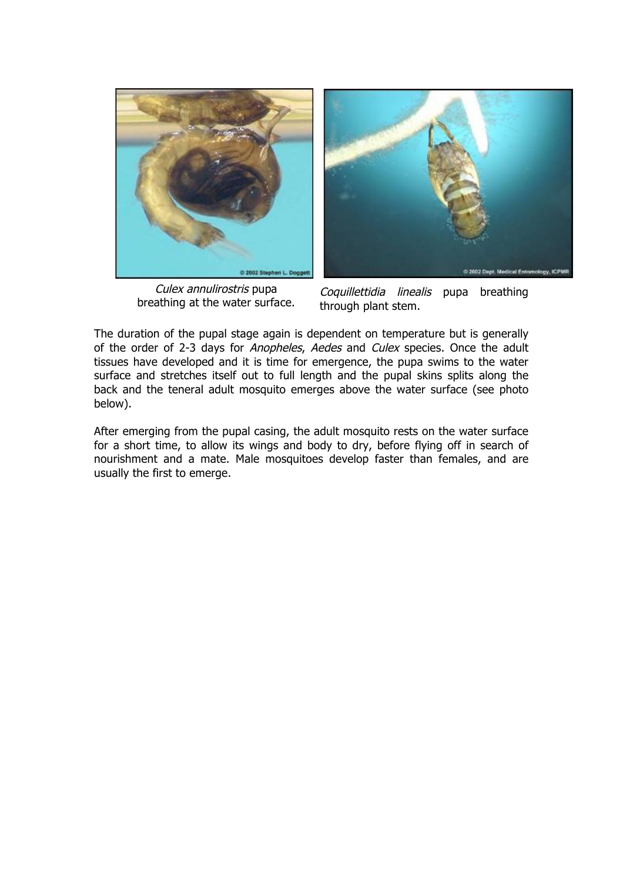

Culex annulirostris pupa breathing at the water surface.



Coquillettidia linealis pupa breathing through plant stem.

The duration of the pupal stage again is dependent on temperature but is generally of the order of 2-3 days for Anopheles, Aedes and Culex species. Once the adult tissues have developed and it is time for emergence, the pupa swims to the water surface and stretches itself out to full length and the pupal skins splits along the back and the teneral adult mosquito emerges above the water surface (see photo below).

After emerging from the pupal casing, the adult mosquito rests on the water surface for a short time, to allow its wings and body to dry, before flying off in search of nourishment and a mate. Male mosquitoes develop faster than females, and are usually the first to emerge.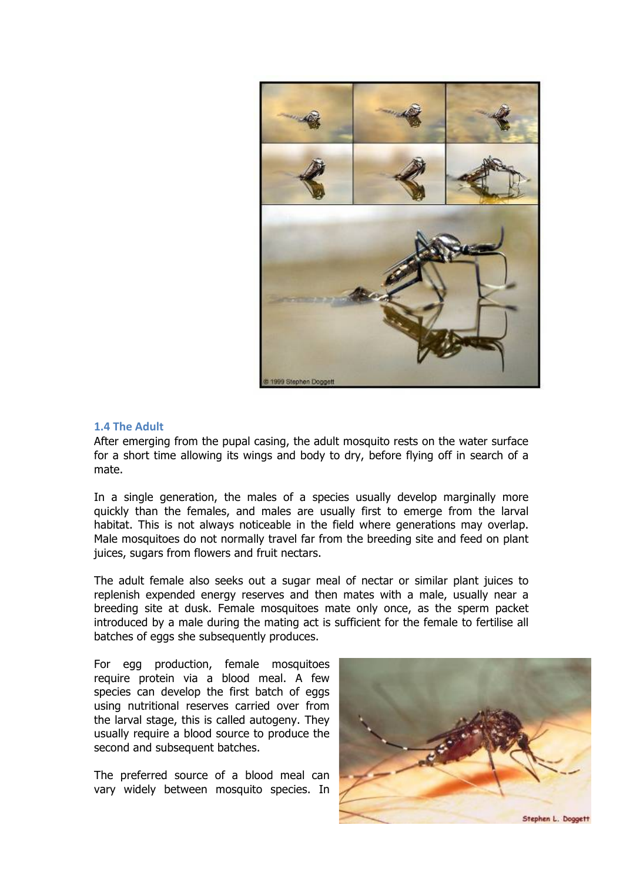

#### **1.4 The Adult**

After emerging from the pupal casing, the adult mosquito rests on the water surface for a short time allowing its wings and body to dry, before flying off in search of a mate.

In a single generation, the males of a species usually develop marginally more quickly than the females, and males are usually first to emerge from the larval habitat. This is not always noticeable in the field where generations may overlap. Male mosquitoes do not normally travel far from the breeding site and feed on plant juices, sugars from flowers and fruit nectars.

The adult female also seeks out a sugar meal of nectar or similar plant juices to replenish expended energy reserves and then mates with a male, usually near a breeding site at dusk. Female mosquitoes mate only once, as the sperm packet introduced by a male during the mating act is sufficient for the female to fertilise all batches of eggs she subsequently produces.

For egg production, female mosquitoes require protein via a blood meal. A few species can develop the first batch of eggs using nutritional reserves carried over from the larval stage, this is called autogeny. They usually require a blood source to produce the second and subsequent batches.

The preferred source of a blood meal can vary widely between mosquito species. In

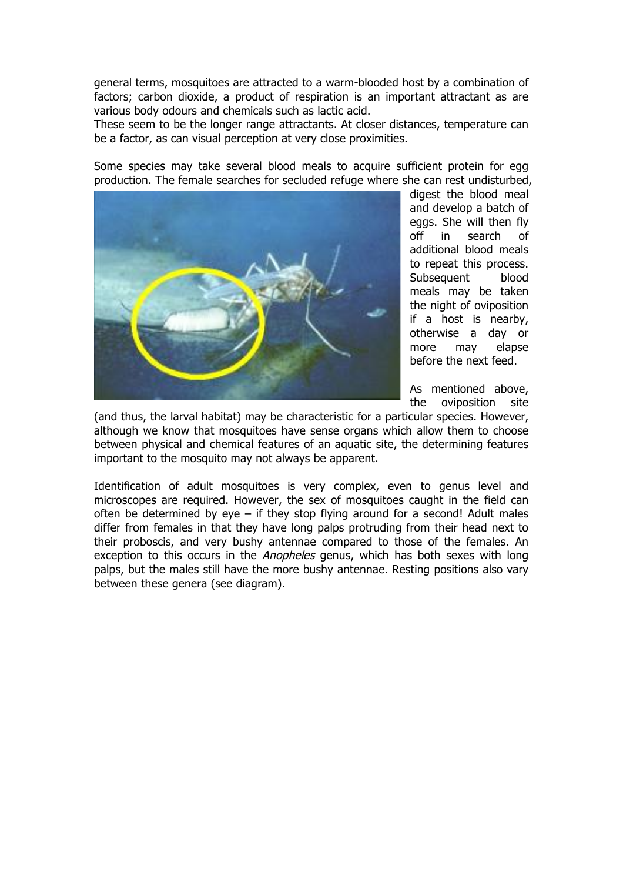general terms, mosquitoes are attracted to a warm-blooded host by a combination of factors; carbon dioxide, a product of respiration is an important attractant as are various body odours and chemicals such as lactic acid.

These seem to be the longer range attractants. At closer distances, temperature can be a factor, as can visual perception at very close proximities.

Some species may take several blood meals to acquire sufficient protein for egg production. The female searches for secluded refuge where she can rest undisturbed,



digest the blood meal and develop a batch of eggs. She will then fly off in search of additional blood meals to repeat this process. Subsequent blood meals may be taken the night of oviposition if a host is nearby, otherwise a day or more may elapse before the next feed.

As mentioned above, the oviposition site

(and thus, the larval habitat) may be characteristic for a particular species. However, although we know that mosquitoes have sense organs which allow them to choose between physical and chemical features of an aquatic site, the determining features important to the mosquito may not always be apparent.

Identification of adult mosquitoes is very complex, even to genus level and microscopes are required. However, the sex of mosquitoes caught in the field can often be determined by eye  $-$  if they stop flying around for a second! Adult males differ from females in that they have long palps protruding from their head next to their proboscis, and very bushy antennae compared to those of the females. An exception to this occurs in the Anopheles genus, which has both sexes with long palps, but the males still have the more bushy antennae. Resting positions also vary between these genera (see diagram).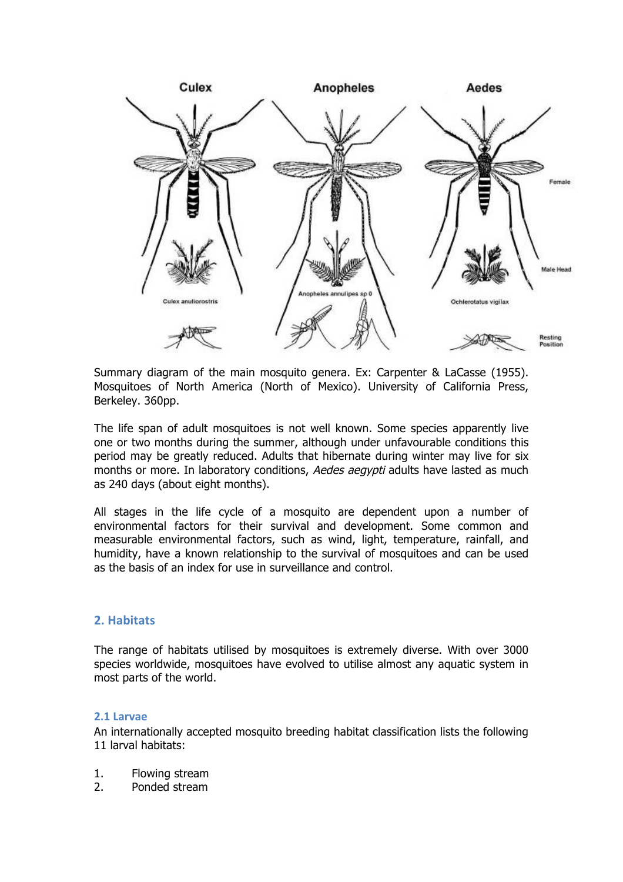

Summary diagram of the main mosquito genera. Ex: Carpenter & LaCasse (1955). Mosquitoes of North America (North of Mexico). University of California Press, Berkeley. 360pp.

The life span of adult mosquitoes is not well known. Some species apparently live one or two months during the summer, although under unfavourable conditions this period may be greatly reduced. Adults that hibernate during winter may live for six months or more. In laboratory conditions, Aedes aegypti adults have lasted as much as 240 days (about eight months).

All stages in the life cycle of a mosquito are dependent upon a number of environmental factors for their survival and development. Some common and measurable environmental factors, such as wind, light, temperature, rainfall, and humidity, have a known relationship to the survival of mosquitoes and can be used as the basis of an index for use in surveillance and control.

#### **2. Habitats**

The range of habitats utilised by mosquitoes is extremely diverse. With over 3000 species worldwide, mosquitoes have evolved to utilise almost any aquatic system in most parts of the world.

#### **2.1 Larvae**

An internationally accepted mosquito breeding habitat classification lists the following 11 larval habitats:

- 1. Flowing stream
- 2. Ponded stream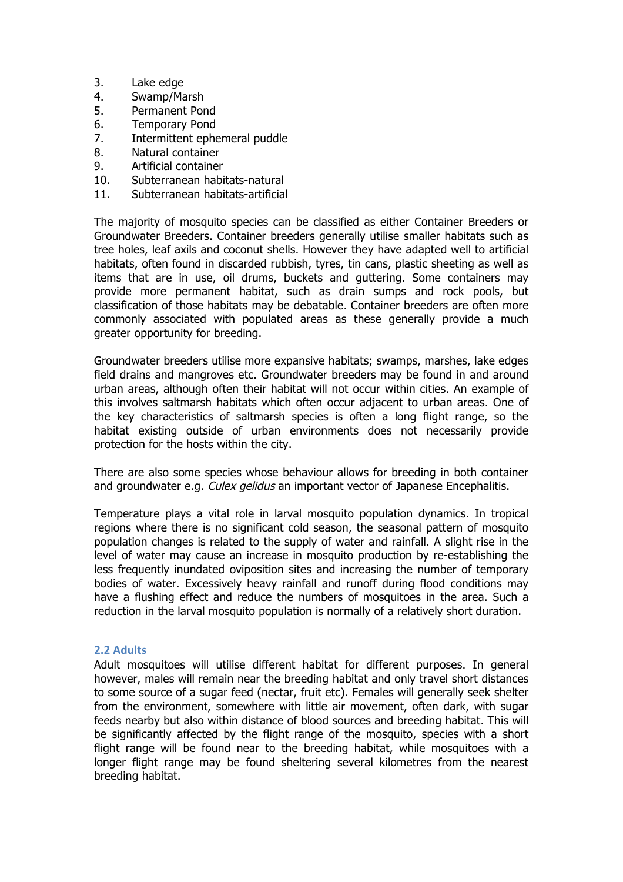- 3. Lake edge
- 4. Swamp/Marsh
- 5. Permanent Pond
- 6. Temporary Pond
- 7. Intermittent ephemeral puddle
- 8. Natural container
- 9. Artificial container
- 10. Subterranean habitats-natural
- 11. Subterranean habitats-artificial

The majority of mosquito species can be classified as either Container Breeders or Groundwater Breeders. Container breeders generally utilise smaller habitats such as tree holes, leaf axils and coconut shells. However they have adapted well to artificial habitats, often found in discarded rubbish, tyres, tin cans, plastic sheeting as well as items that are in use, oil drums, buckets and guttering. Some containers may provide more permanent habitat, such as drain sumps and rock pools, but classification of those habitats may be debatable. Container breeders are often more commonly associated with populated areas as these generally provide a much greater opportunity for breeding.

Groundwater breeders utilise more expansive habitats; swamps, marshes, lake edges field drains and mangroves etc. Groundwater breeders may be found in and around urban areas, although often their habitat will not occur within cities. An example of this involves saltmarsh habitats which often occur adjacent to urban areas. One of the key characteristics of saltmarsh species is often a long flight range, so the habitat existing outside of urban environments does not necessarily provide protection for the hosts within the city.

There are also some species whose behaviour allows for breeding in both container and groundwater e.g. *Culex gelidus* an important vector of Japanese Encephalitis.

Temperature plays a vital role in larval mosquito population dynamics. In tropical regions where there is no significant cold season, the seasonal pattern of mosquito population changes is related to the supply of water and rainfall. A slight rise in the level of water may cause an increase in mosquito production by re-establishing the less frequently inundated oviposition sites and increasing the number of temporary bodies of water. Excessively heavy rainfall and runoff during flood conditions may have a flushing effect and reduce the numbers of mosquitoes in the area. Such a reduction in the larval mosquito population is normally of a relatively short duration.

#### **2.2 Adults**

Adult mosquitoes will utilise different habitat for different purposes. In general however, males will remain near the breeding habitat and only travel short distances to some source of a sugar feed (nectar, fruit etc). Females will generally seek shelter from the environment, somewhere with little air movement, often dark, with sugar feeds nearby but also within distance of blood sources and breeding habitat. This will be significantly affected by the flight range of the mosquito, species with a short flight range will be found near to the breeding habitat, while mosquitoes with a longer flight range may be found sheltering several kilometres from the nearest breeding habitat.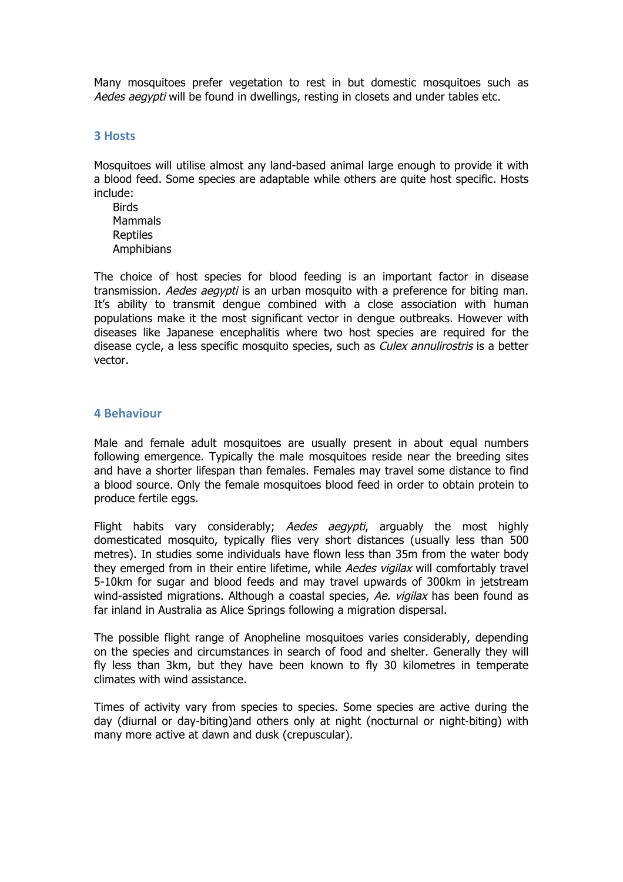Many mosquitoes prefer vegetation to rest in but domestic mosquitoes such as Aedes aegypti will be found in dwellings, resting in closets and under tables etc.

#### **3 Hosts**

Mosquitoes will utilise almost any land-based animal large enough to provide it with a blood feed. Some species are adaptable while others are quite host specific. Hosts include:

**Birds** Mammals Reptiles Amphibians

The choice of host species for blood feeding is an important factor in disease transmission. Aedes aegypti is an urban mosquito with a preference for biting man. It's ability to transmit dengue combined with a close association with human populations make it the most significant vector in dengue outbreaks. However with diseases like Japanese encephalitis where two host species are required for the disease cycle, a less specific mosquito species, such as *Culex annulirostris* is a better vector.

#### **4 Behaviour**

Male and female adult mosquitoes are usually present in about equal numbers following emergence. Typically the male mosquitoes reside near the breeding sites and have a shorter lifespan than females. Females may travel some distance to find a blood source. Only the female mosquitoes blood feed in order to obtain protein to produce fertile eggs.

Flight habits vary considerably; Aedes aegypti, arguably the most highly domesticated mosquito, typically flies very short distances (usually less than 500 metres). In studies some individuals have flown less than 35m from the water body they emerged from in their entire lifetime, while Aedes vigilax will comfortably travel 5-10km for sugar and blood feeds and may travel upwards of 300km in jetstream wind-assisted migrations. Although a coastal species, Ae. vigilax has been found as far inland in Australia as Alice Springs following a migration dispersal.

The possible flight range of Anopheline mosquitoes varies considerably, depending on the species and circumstances in search of food and shelter. Generally they will fly less than 3km, but they have been known to fly 30 kilometres in temperate climates with wind assistance.

Times of activity vary from species to species. Some species are active during the day (diurnal or day-biting)and others only at night (nocturnal or night-biting) with many more active at dawn and dusk (crepuscular).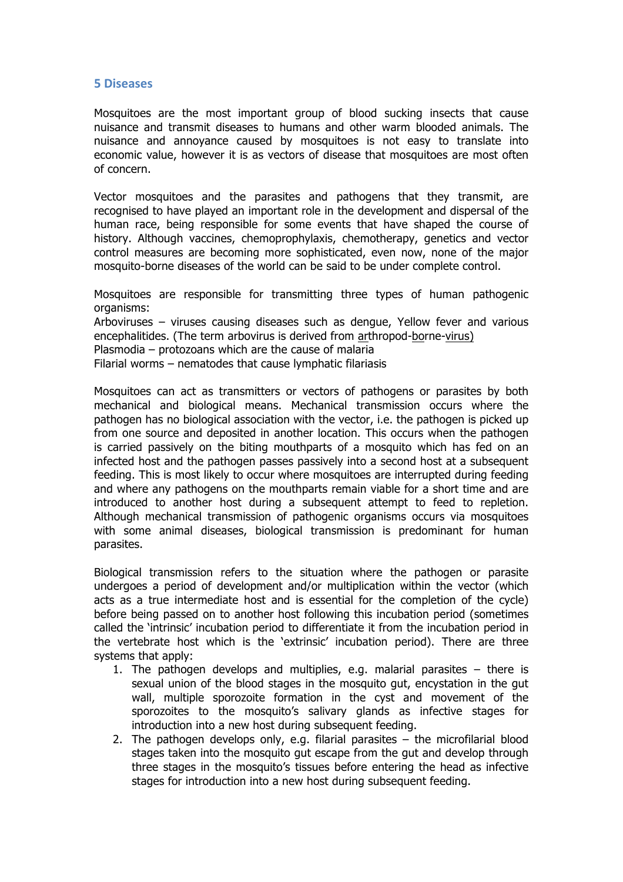#### **5 Diseases**

Mosquitoes are the most important group of blood sucking insects that cause nuisance and transmit diseases to humans and other warm blooded animals. The nuisance and annoyance caused by mosquitoes is not easy to translate into economic value, however it is as vectors of disease that mosquitoes are most often of concern.

Vector mosquitoes and the parasites and pathogens that they transmit, are recognised to have played an important role in the development and dispersal of the human race, being responsible for some events that have shaped the course of history. Although vaccines, chemoprophylaxis, chemotherapy, genetics and vector control measures are becoming more sophisticated, even now, none of the major mosquito-borne diseases of the world can be said to be under complete control.

Mosquitoes are responsible for transmitting three types of human pathogenic organisms:

Arboviruses – viruses causing diseases such as dengue, Yellow fever and various encephalitides. (The term arbovirus is derived from arthropod-borne-virus)

Plasmodia – protozoans which are the cause of malaria

Filarial worms – nematodes that cause lymphatic filariasis

Mosquitoes can act as transmitters or vectors of pathogens or parasites by both mechanical and biological means. Mechanical transmission occurs where the pathogen has no biological association with the vector, i.e. the pathogen is picked up from one source and deposited in another location. This occurs when the pathogen is carried passively on the biting mouthparts of a mosquito which has fed on an infected host and the pathogen passes passively into a second host at a subsequent feeding. This is most likely to occur where mosquitoes are interrupted during feeding and where any pathogens on the mouthparts remain viable for a short time and are introduced to another host during a subsequent attempt to feed to repletion. Although mechanical transmission of pathogenic organisms occurs via mosquitoes with some animal diseases, biological transmission is predominant for human parasites.

Biological transmission refers to the situation where the pathogen or parasite undergoes a period of development and/or multiplication within the vector (which acts as a true intermediate host and is essential for the completion of the cycle) before being passed on to another host following this incubation period (sometimes called the 'intrinsic' incubation period to differentiate it from the incubation period in the vertebrate host which is the 'extrinsic' incubation period). There are three systems that apply:

- 1. The pathogen develops and multiplies, e.g. malarial parasites there is sexual union of the blood stages in the mosquito gut, encystation in the gut wall, multiple sporozoite formation in the cyst and movement of the sporozoites to the mosquito's salivary glands as infective stages for introduction into a new host during subsequent feeding.
- 2. The pathogen develops only, e.g. filarial parasites  $-$  the microfilarial blood stages taken into the mosquito gut escape from the gut and develop through three stages in the mosquito's tissues before entering the head as infective stages for introduction into a new host during subsequent feeding.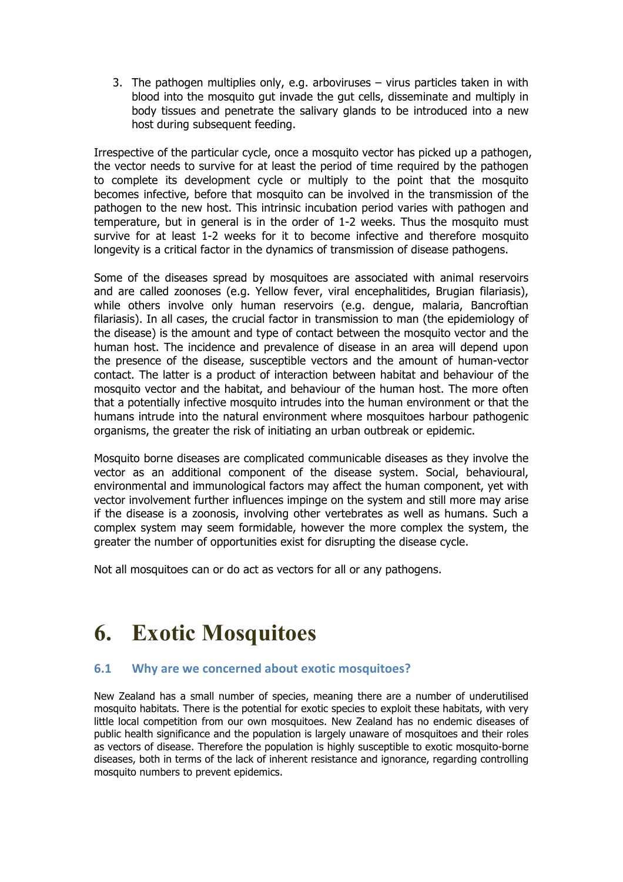3. The pathogen multiplies only, e.g. arboviruses – virus particles taken in with blood into the mosquito gut invade the gut cells, disseminate and multiply in body tissues and penetrate the salivary glands to be introduced into a new host during subsequent feeding.

Irrespective of the particular cycle, once a mosquito vector has picked up a pathogen, the vector needs to survive for at least the period of time required by the pathogen to complete its development cycle or multiply to the point that the mosquito becomes infective, before that mosquito can be involved in the transmission of the pathogen to the new host. This intrinsic incubation period varies with pathogen and temperature, but in general is in the order of 1-2 weeks. Thus the mosquito must survive for at least 1-2 weeks for it to become infective and therefore mosquito longevity is a critical factor in the dynamics of transmission of disease pathogens.

Some of the diseases spread by mosquitoes are associated with animal reservoirs and are called zoonoses (e.g. Yellow fever, viral encephalitides, Brugian filariasis), while others involve only human reservoirs (e.g. dengue, malaria, Bancroftian filariasis). In all cases, the crucial factor in transmission to man (the epidemiology of the disease) is the amount and type of contact between the mosquito vector and the human host. The incidence and prevalence of disease in an area will depend upon the presence of the disease, susceptible vectors and the amount of human-vector contact. The latter is a product of interaction between habitat and behaviour of the mosquito vector and the habitat, and behaviour of the human host. The more often that a potentially infective mosquito intrudes into the human environment or that the humans intrude into the natural environment where mosquitoes harbour pathogenic organisms, the greater the risk of initiating an urban outbreak or epidemic.

Mosquito borne diseases are complicated communicable diseases as they involve the vector as an additional component of the disease system. Social, behavioural, environmental and immunological factors may affect the human component, yet with vector involvement further influences impinge on the system and still more may arise if the disease is a zoonosis, involving other vertebrates as well as humans. Such a complex system may seem formidable, however the more complex the system, the greater the number of opportunities exist for disrupting the disease cycle.

Not all mosquitoes can or do act as vectors for all or any pathogens.

# **6. Exotic Mosquitoes**

# **6.1 Why are we concerned about exotic mosquitoes?**

New Zealand has a small number of species, meaning there are a number of underutilised mosquito habitats. There is the potential for exotic species to exploit these habitats, with very little local competition from our own mosquitoes. New Zealand has no endemic diseases of public health significance and the population is largely unaware of mosquitoes and their roles as vectors of disease. Therefore the population is highly susceptible to exotic mosquito-borne diseases, both in terms of the lack of inherent resistance and ignorance, regarding controlling mosquito numbers to prevent epidemics.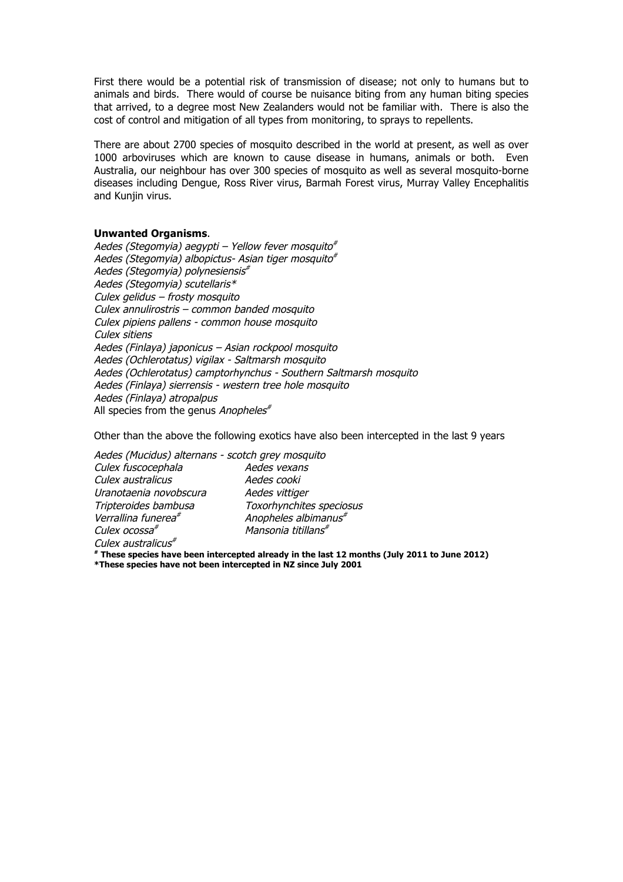First there would be a potential risk of transmission of disease; not only to humans but to animals and birds. There would of course be nuisance biting from any human biting species that arrived, to a degree most New Zealanders would not be familiar with. There is also the cost of control and mitigation of all types from monitoring, to sprays to repellents.

There are about 2700 species of mosquito described in the world at present, as well as over 1000 arboviruses which are known to cause disease in humans, animals or both. Even Australia, our neighbour has over 300 species of mosquito as well as several mosquito-borne diseases including Dengue, Ross River virus, Barmah Forest virus, Murray Valley Encephalitis and Kunjin virus.

#### **Unwanted Organisms**.

Aedes (Stegomyia) aegypti – Yellow fever mosquito $*$ Aedes (Stegomyia) albopictus- Asian tiger mosquito $*$ Aedes (Stegomyia) polynesiensis# Aedes (Stegomyia) scutellaris\* Culex gelidus – frosty mosquito Culex annulirostris – common banded mosquito Culex pipiens pallens - common house mosquito Culex sitiens Aedes (Finlaya) japonicus – Asian rockpool mosquito Aedes (Ochlerotatus) vigilax - Saltmarsh mosquito Aedes (Ochlerotatus) camptorhynchus - Southern Saltmarsh mosquito Aedes (Finlaya) sierrensis - western tree hole mosquito Aedes (Finlaya) atropalpus All species from the genus Anopheles<sup>#</sup>

Other than the above the following exotics have also been intercepted in the last 9 years

| Aedes (Mucidus) alternans - scotch grey mosquito |                                  |
|--------------------------------------------------|----------------------------------|
| Culex fuscocephala                               | Aedes vexans                     |
| Culex australicus                                | Aedes cooki                      |
| Uranotaenia novobscura                           | Aedes vittiger                   |
| Tripteroides bambusa                             | Toxorhynchites speciosus         |
| Verrallina funerea <sup>#</sup>                  | Anopheles albimanus <sup>#</sup> |
| Culex ocossa <sup>#</sup>                        | Mansonia titillans <sup>#</sup>  |
| $C_{11}$                                         |                                  |

Culex australicus<sup>\*</sup>

**# These species have been intercepted already in the last 12 months (July 2011 to June 2012)**

**\*These species have not been intercepted in NZ since July 2001**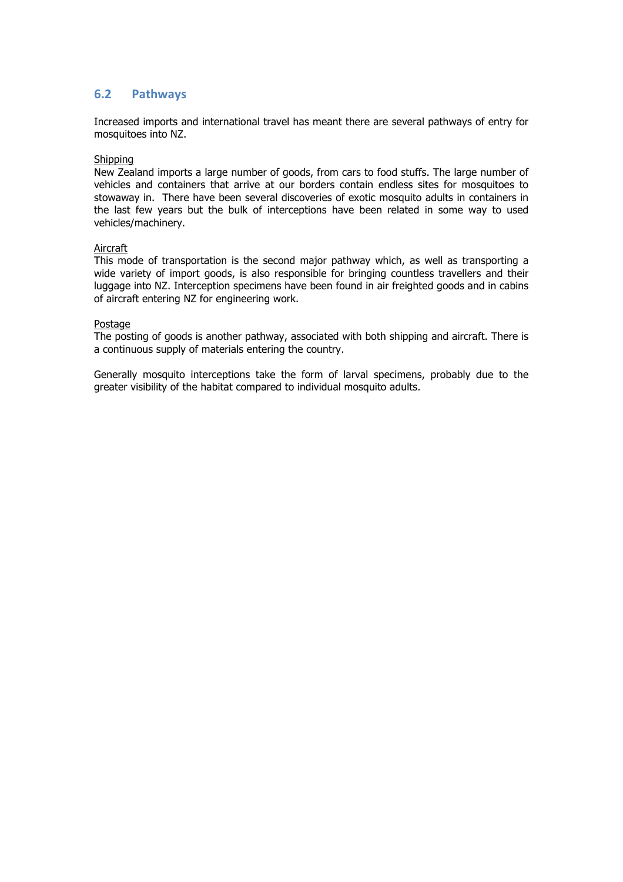## **6.2 Pathways**

Increased imports and international travel has meant there are several pathways of entry for mosquitoes into NZ.

#### Shipping

New Zealand imports a large number of goods, from cars to food stuffs. The large number of vehicles and containers that arrive at our borders contain endless sites for mosquitoes to stowaway in. There have been several discoveries of exotic mosquito adults in containers in the last few years but the bulk of interceptions have been related in some way to used vehicles/machinery.

#### Aircraft

This mode of transportation is the second major pathway which, as well as transporting a wide variety of import goods, is also responsible for bringing countless travellers and their luggage into NZ. Interception specimens have been found in air freighted goods and in cabins of aircraft entering NZ for engineering work.

#### Postage

The posting of goods is another pathway, associated with both shipping and aircraft. There is a continuous supply of materials entering the country.

Generally mosquito interceptions take the form of larval specimens, probably due to the greater visibility of the habitat compared to individual mosquito adults.